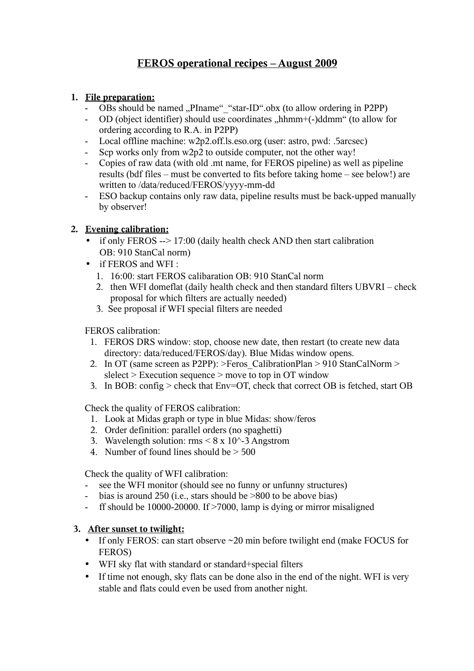# **FEROS operational recipes – August 2009**

## **1. File preparation:**

- OBs should be named "PIname" "star-ID".obx (to allow ordering in P2PP)
- OD (object identifier) should use coordinates "hhmm+(-)ddmm" (to allow for ordering according to R.A. in P2PP)
- Local offline machine: w2p2.off.ls.eso.org (user: astro, pwd: .5arcsec)
- Scp works only from w2p2 to outside computer, not the other way!
- Copies of raw data (with old .mt name, for FEROS pipeline) as well as pipeline results (bdf files – must be converted to fits before taking home – see below!) are written to /data/reduced/FEROS/yyyy-mm-dd
- ESO backup contains only raw data, pipeline results must be back-upped manually by observer!

## **2. Evening calibration:**

- if only FEROS  $-$  > 17:00 (daily health check AND then start calibration OB: 910 StanCal norm)
- if FEROS and WFI :
	- 1. 16:00: start FEROS calibaration OB: 910 StanCal norm
	- 2. then WFI domeflat (daily health check and then standard filters UBVRI check proposal for which filters are actually needed)
	- 3. See proposal if WFI special filters are needed

FEROS calibration:

- 1. FEROS DRS window: stop, choose new date, then restart (to create new data directory: data/reduced/FEROS/day). Blue Midas window opens.
- 2. In OT (same screen as P2PP):  $>$ Feros CalibrationPlan  $>$  910 StanCalNorm  $>$ slelect > Execution sequence > move to top in OT window
- 3. In BOB: config > check that Env=OT, check that correct OB is fetched, start OB

Check the quality of FEROS calibration:

- 1. Look at Midas graph or type in blue Midas: show/feros
- 2. Order definition: parallel orders (no spaghetti)
- 3. Wavelength solution:  $\text{rms} \leq 8 \times 10^{6} 3$  Angstrom
- 4. Number of found lines should be > 500

Check the quality of WFI calibration:

- see the WFI monitor (should see no funny or unfunny structures)
- bias is around 250 (i.e., stars should be >800 to be above bias)
- ff should be 10000-20000. If >7000, lamp is dying or mirror misaligned

#### **3. After sunset to twilight:**

- If only FEROS: can start observe ~20 min before twilight end (make FOCUS for FEROS)
- WFI sky flat with standard or standard+special filters
- If time not enough, sky flats can be done also in the end of the night. WFI is very stable and flats could even be used from another night.